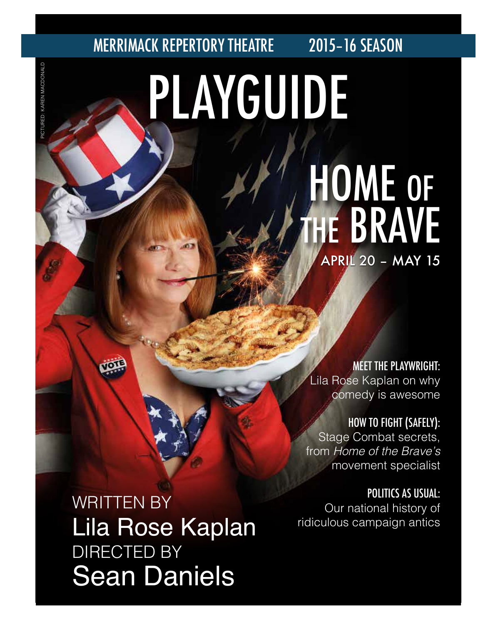# PLAYGUIDE MERRIMACK REPERTORY THEATRE 2015–16 SEASON HOME OF HE BRAVE

MEET THE PLAYWRIGHT: Lila Rose Kaplan on why comedy is awesome

APRIL 20 – MAY 15

HOW TO FIGHT (SAFELY): Stage Combat secrets, from *Home of the Brave's* movement specialist

POLITICS AS USUAL: Our national history of ridiculous campaign antics

WRITTEN BY Lila Rose Kaplan DIRECTED BY Sean Daniels

PICTURED: KAREN MACDONALD PICTURED: KAREN MACDONALD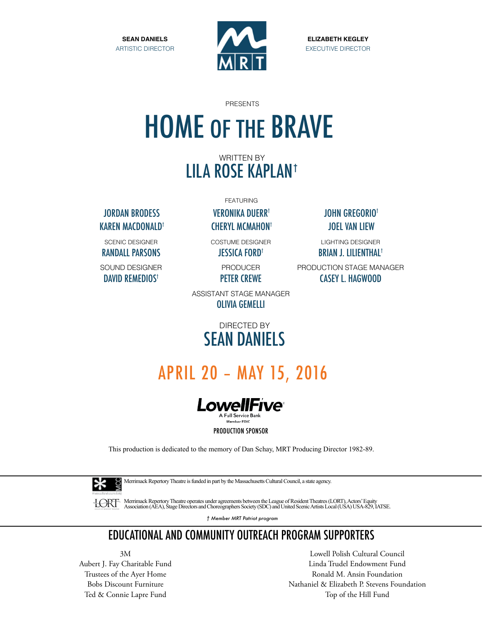

**ELIZABETH KEGLEY** EXECUTIVE DIRECTOR

> LIGHTING DESIGNER BRIAN J. LILIENTHAL†

PRODUCTION STAGE MANAGER CASEY L. HAGWOOD

PRESENTS

# HOME OF THE BRAVE

### WRITTEN BY LILA ROSE KAPLAN†

JORDAN BRODESS VERONIKA DUERR† JOHN GREGORIO† KAREN MACDONALD† CHERYL MCMAHON† JOEL VAN LIEW

SCENIC DESIGNER RANDALL PARSONS

SOUND DESIGNER DAVID REMEDIOS<sup>†</sup>

FEATURING

COSTUME DESIGNER

JESSICA FORD†

PRODUCER PETER CREWE

ASSISTANT STAGE MANAGER OLIVIA GEMELLI

### DIRECTED BY SEAN DANIELS

### APRIL 20 – MAY 15, 2016



This production is dedicated to the memory of Dan Schay, MRT Producing Director 1982-89.



Merrimack Repertory Theatre is funded in part by the Massachusetts Cultural Council, a state agency.

HORT Merrimack Repertory Theatre operates under agreements between the League of Resident Theatres (LORT), Actors' Equity<br>Association (AEA), Stage Directors and Choreographers Society (SDC) and United Scenic Artists Local

*† Member MRT Patriot program*

### EDUCATIONAL AND COMMUNITY OUTREACH PROGRAM SUPPORTERS

3M Aubert J. Fay Charitable Fund Trustees of the Ayer Home Bobs Discount Furniture Ted & Connie Lapre Fund

Lowell Polish Cultural Council Linda Trudel Endowment Fund Ronald M. Ansin Foundation Nathaniel & Elizabeth P. Stevens Foundation Top of the Hill Fund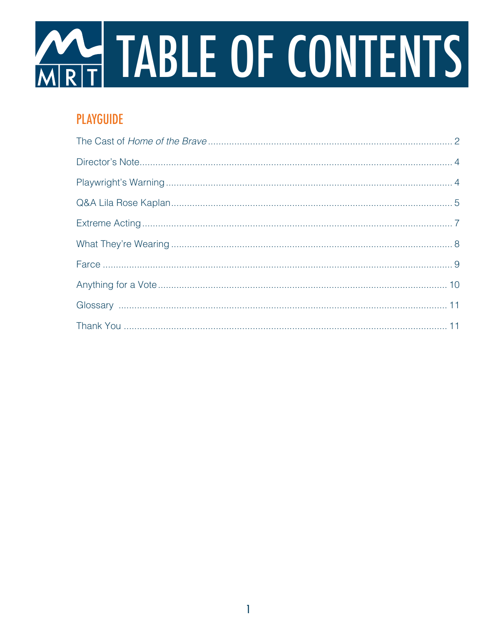

### **PLAYGUIDE**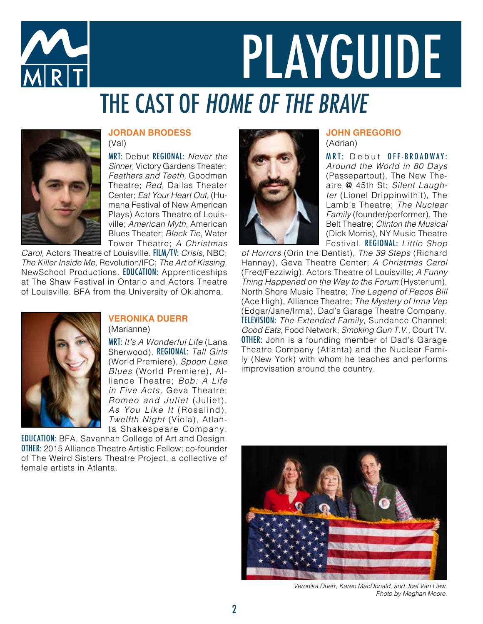

# PLAYGUIDE THE CAST OF HOME OF THE BRAVE



#### **JORDAN BRODESS** (Val)

MRT: Debut REGIONAL: *Never the Sinner,* Victory Gardens Theater; *Feathers and Teeth,* Goodman Theatre; *Red,* Dallas Theater Center; *Eat Your Heart Out,* (Humana Festival of New American Plays) Actors Theatre of Louisville; *American Myth,* American Blues Theater; *Black Tie,* Water Tower Theatre; *A Christmas*

*Carol,* Actors Theatre of Louisville. FILM/TV: *Crisis,* NBC; *The Killer Inside Me,* Revolution/IFC; *The Art of Kissing,* NewSchool Productions. EDUCATION: Apprenticeships at The Shaw Festival in Ontario and Actors Theatre of Louisville. BFA from the University of Oklahoma.



#### **VERONIKA DUERR** (Marianne)

MRT: *It's A Wonderful Life* (Lana Sherwood). REGIONAL: *Tall Girls* (World Premiere), *Spoon Lake Blues* (World Premiere), Alliance Theatre; *Bob: A Life in Five Acts,* Geva Theatre; *Romeo and Juliet* (Juliet), *As You Like It* (Rosalind), *Twelfth Night* (Viola), Atlanta Shakespeare Company.

EDUCATION: BFA, Savannah College of Art and Design. OTHER: 2015 Alliance Theatre Artistic Fellow; co-founder of The Weird Sisters Theatre Project, a collective of female artists in Atlanta.



### **JOHN GREGORIO**

(Adrian)

MRT: Debut OFF-BROADWAY: *Around the World in 80 Days*  (Passepartout), The New Theatre @ 45th St; *Silent Laughter* (Lionel Drippinwithit), The Lamb's Theatre; *The Nuclear Family* (founder/performer), The Belt Theatre; *Clinton the Musical*  (Dick Morris), NY Music Theatre Festival. REGIONAL: *Little Shop* 

*of Horrors* (Orin the Dentist), *The 39 Steps* (Richard Hannay), Geva Theatre Center; *A Christmas Carol* (Fred/Fezziwig), Actors Theatre of Louisville; *A Funny Thing Happened on the Way to the Forum* (Hysterium), North Shore Music Theatre; *The Legend of Pecos Bill*  (Ace High), Alliance Theatre; *The Mystery of Irma Vep*  (Edgar/Jane/Irma), Dad's Garage Theatre Company. TELEVISION: *The Extended Family,* Sundance Channel; *Good Eats,* Food Network; *Smoking Gun T.V.,* Court TV. **OTHER:** John is a founding member of Dad's Garage Theatre Company (Atlanta) and the Nuclear Family (New York) with whom he teaches and performs improvisation around the country.



*Veronika Duerr, Karen MacDonald, and Joel Van Liew. Photo by Meghan Moore.*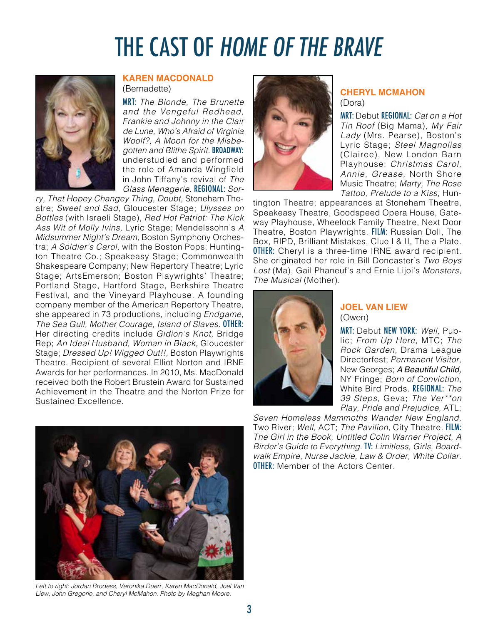## THE CAST OF HOME OF THE BRAVE



#### **KAREN MACDONALD** (Bernadette)

MRT: *The Blonde, The Brunette and the Vengeful Redhead, Frankie and Johnny in the Clair de Lune, Who's Afraid of Virginia Woolf?, A Moon for the Misbegotten and Blithe Spirit.* BROADWAY: understudied and performed the role of Amanda Wingfield in John Tiffany's revival of *The Glass Menagerie.* REGIONAL: *Sor-*

*ry, That Hopey Changey Thing, Doubt,* Stoneham Theatre; *Sweet and Sad,* Gloucester Stage; *Ulysses on Bottles* (with Israeli Stage), *Red Hot Patriot: The Kick Ass Wit of Molly Ivins,* Lyric Stage; Mendelssohn's *A Midsummer Night's Dream,* Boston Symphony Orchestra; *A Soldier's Carol,* with the Boston Pops; Huntington Theatre Co.; Speakeasy Stage; Commonwealth Shakespeare Company; New Repertory Theatre; Lyric Stage; ArtsEmerson; Boston Playwrights' Theatre; Portland Stage, Hartford Stage, Berkshire Theatre Festival, and the Vineyard Playhouse. A founding company member of the American Repertory Theatre, she appeared in 73 productions, including *Endgame, The Sea Gull, Mother Courage, Island of Slaves.* OTHER: Her directing credits include *Gidion's Knot,* Bridge Rep; *An Ideal Husband, Woman in Black,* Gloucester Stage; *Dressed Up! Wigged Out!!,* Boston Playwrights Theatre. Recipient of several Elliot Norton and IRNE Awards for her performances. In 2010, Ms. MacDonald received both the Robert Brustein Award for Sustained Achievement in the Theatre and the Norton Prize for Sustained Excellence.



Left to right: Jordan Brodess, Veronika Duerr, Karen MacDonald, Joel Van *Liew, John Gregorio, and Cheryl McMahon. Photo by Meghan Moore.*



#### **CHERYL MCMAHON** (Dora)

MRT: Debut REGIONAL: *Cat on a Hot Tin Roof* (Big Mama), *My Fair Lady* (Mrs. Pearse), Boston's Lyric Stage; *Steel Magnolias*  (Clairee), New London Barn Playhouse; *Christmas Carol, Annie, Grease,* North Shore Music Theatre; *Marty, The Rose Tattoo, Prelude to a Kiss,* Hun-

tington Theatre; appearances at Stoneham Theatre, Speakeasy Theatre, Goodspeed Opera House, Gateway Playhouse, Wheelock Family Theatre, Next Door Theatre, Boston Playwrights. FILM: Russian Doll, The Box, RIPD, Brilliant Mistakes, Clue I & II, The a Plate. **OTHER:** Cheryl is a three-time IRNE award recipient. She originated her role in Bill Doncaster's *Two Boys Lost* (Ma), Gail Phaneuf's and Ernie Lijoi's *Monsters, The Musical* (Mother).



#### **JOEL VAN LIEW** (Owen)

MRT: Debut NEW YORK: *Well,* Public; *From Up Here,* MTC; *The Rock Garden,* Drama League Directorfest; *Permanent Visitor,*  New Georges; *A Beautiful Child,* NY Fringe; *Born of Conviction,* White Bird Prods. REGIONAL: *The 39 Steps,* Geva; *The Ver\*\*on Play, Pride and Prejudice,* ATL;

*Seven Homeless Mammoths Wander New England,* Two River; *Well,* ACT; *The Pavilion,* City Theatre. FILM: *The Girl in the Book, Untitled Colin Warner Project, A Birder's Guide to Everything.* TV: *Limitless, Girls, Boardwalk Empire, Nurse Jackie, Law & Order, White Collar.* **OTHER:** Member of the Actors Center.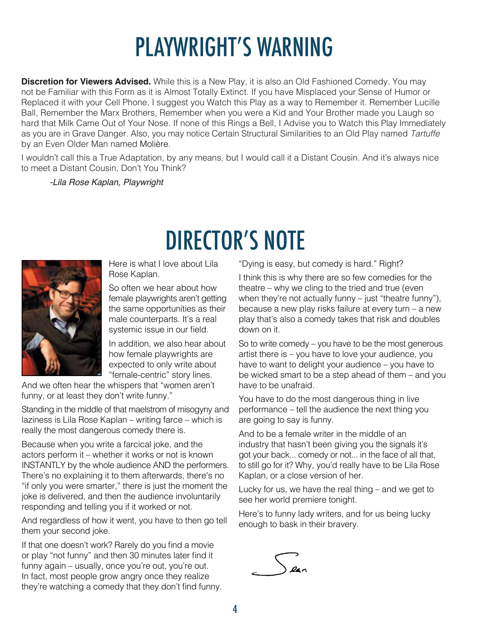# PLAYWRIGHT'S WARNING

**Discretion for Viewers Advised.** While this is a New Play, it is also an Old Fashioned Comedy. You may not be Familiar with this Form as it is Almost Totally Extinct. If you have Misplaced your Sense of Humor or Replaced it with your Cell Phone, I suggest you Watch this Play as a way to Remember it. Remember Lucille Ball, Remember the Marx Brothers, Remember when you were a Kid and Your Brother made you Laugh so hard that Milk Came Out of Your Nose. If none of this Rings a Bell, I Advise you to Watch this Play Immediately as you are in Grave Danger. Also, you may notice Certain Structural Similarities to an Old Play named *Tartuffe* by an Even Older Man named Molière.

I wouldn't call this a True Adaptation, by any means, but I would call it a Distant Cousin. And it's always nice to meet a Distant Cousin, Don't You Think?

DIRECTOR'S NOTE

*-Lila Rose Kaplan, Playwright*



Here is what I love about Lila Rose Kaplan.

So often we hear about how female playwrights aren't getting the same opportunities as their male counterparts. It's a real systemic issue in our field.

In addition, we also hear about how female playwrights are expected to only write about "female-centric" story lines.

And we often hear the whispers that "women aren't funny, or at least they don't write funny."

Standing in the middle of that maelstrom of misogyny and laziness is Lila Rose Kaplan – writing farce – which is really the most dangerous comedy there is.

Because when you write a farcical joke, and the actors perform it – whether it works or not is known INSTANTLY by the whole audience AND the performers. There's no explaining it to them afterwards, there's no "if only you were smarter," there is just the moment the joke is delivered, and then the audience involuntarily responding and telling you if it worked or not.

And regardless of how it went, you have to then go tell them your second joke.

If that one doesn't work? Rarely do you find a movie or play "not funny" and then 30 minutes later find it funny again – usually, once you're out, you're out. In fact, most people grow angry once they realize they're watching a comedy that they don't find funny. "Dying is easy, but comedy is hard." Right?

I think this is why there are so few comedies for the theatre – why we cling to the tried and true (even when they're not actually funny – just "theatre funny"), because a new play risks failure at every turn – a new play that's also a comedy takes that risk and doubles down on it.

So to write comedy – you have to be the most generous artist there is – you have to love your audience, you have to want to delight your audience – you have to be wicked smart to be a step ahead of them – and you have to be unafraid.

You have to do the most dangerous thing in live performance – tell the audience the next thing you are going to say is funny.

And to be a female writer in the middle of an industry that hasn't been giving you the signals it's got your back... comedy or not... in the face of all that, to still go for it? Why, you'd really have to be Lila Rose Kaplan, or a close version of her.

Lucky for us, we have the real thing – and we get to see her world premiere tonight.

Here's to funny lady writers, and for us being lucky enough to bask in their bravery.

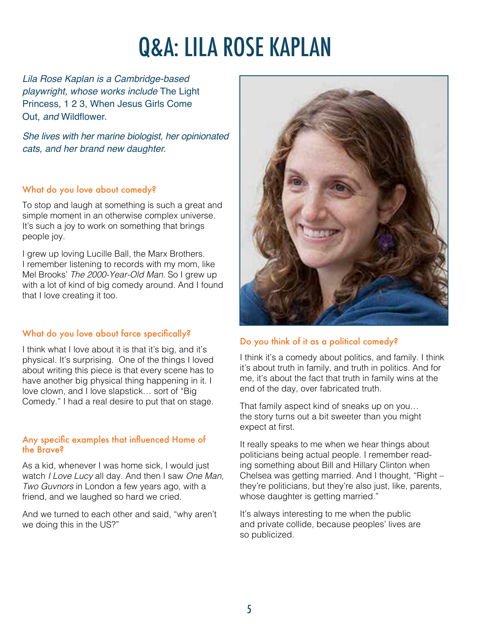# Q&A: LILA ROSE KAPLAN

*Lila Rose Kaplan is a Cambridge-based playwright, whose works include* The Light Princess, 1 2 3, When Jesus Girls Come Out, *and* Wildflower.

*She lives with her marine biologist, her opinionated cats, and her brand new daughter.*

#### What do you love about comedy?

To stop and laugh at something is such a great and simple moment in an otherwise complex universe. It's such a joy to work on something that brings people joy.

I grew up loving Lucille Ball, the Marx Brothers. I remember listening to records with my mom, like Mel Brooks' *The 2000-Year-Old Man*. So I grew up with a lot of kind of big comedy around. And I found that I love creating it too.

#### What do you love about farce specifically?

I think what I love about it is that it's big, and it's physical. It's surprising. One of the things I loved about writing this piece is that every scene has to have another big physical thing happening in it. I love clown, and I love slapstick… sort of "Big Comedy." I had a real desire to put that on stage.

#### Any specific examples that influenced Home of the Brave?

As a kid, whenever I was home sick, I would just watch *I Love Lucy* all day. And then I saw *One Man, Two Guvnors* in London a few years ago, with a friend, and we laughed so hard we cried.

And we turned to each other and said, "why aren't we doing this in the US?"



#### Do you think of it as a political comedy?

I think it's a comedy about politics, and family. I think it's about truth in family, and truth in politics. And for me, it's about the fact that truth in family wins at the end of the day, over fabricated truth.

That family aspect kind of sneaks up on you… the story turns out a bit sweeter than you might expect at first.

It really speaks to me when we hear things about politicians being actual people. I remember reading something about Bill and Hillary Clinton when Chelsea was getting married. And I thought, "Right – they're politicians, but they're also just, like, parents, whose daughter is getting married."

It's always interesting to me when the public and private collide, because peoples' lives are so publicized.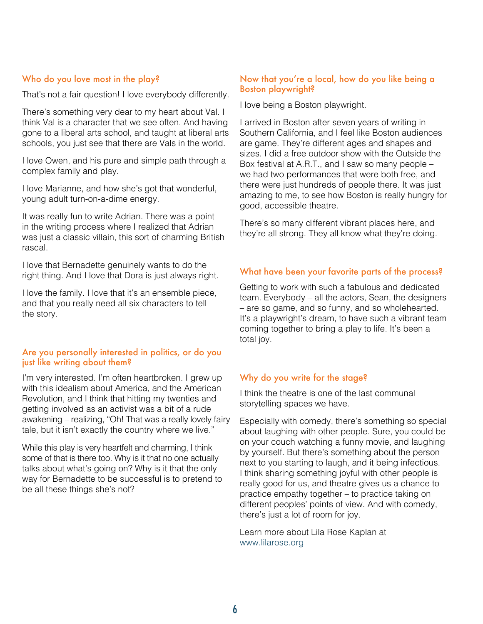#### Who do you love most in the play?

That's not a fair question! I love everybody differently.

There's something very dear to my heart about Val. I think Val is a character that we see often. And having gone to a liberal arts school, and taught at liberal arts schools, you just see that there are Vals in the world.

I love Owen, and his pure and simple path through a complex family and play.

I love Marianne, and how she's got that wonderful, young adult turn-on-a-dime energy.

It was really fun to write Adrian. There was a point in the writing process where I realized that Adrian was just a classic villain, this sort of charming British rascal.

I love that Bernadette genuinely wants to do the right thing. And I love that Dora is just always right.

I love the family. I love that it's an ensemble piece, and that you really need all six characters to tell the story.

#### Are you personally interested in politics, or do you just like writing about them?

I'm very interested. I'm often heartbroken. I grew up with this idealism about America, and the American Revolution, and I think that hitting my twenties and getting involved as an activist was a bit of a rude awakening – realizing, "Oh! That was a really lovely fairy tale, but it isn't exactly the country where we live."

While this play is very heartfelt and charming, I think some of that is there too. Why is it that no one actually talks about what's going on? Why is it that the only way for Bernadette to be successful is to pretend to be all these things she's not?

#### Now that you're a local, how do you like being a Boston playwright?

I love being a Boston playwright.

I arrived in Boston after seven years of writing in Southern California, and I feel like Boston audiences are game. They're different ages and shapes and sizes. I did a free outdoor show with the Outside the Box festival at A.R.T., and I saw so many people – we had two performances that were both free, and there were just hundreds of people there. It was just amazing to me, to see how Boston is really hungry for good, accessible theatre.

There's so many different vibrant places here, and they're all strong. They all know what they're doing.

#### What have been your favorite parts of the process?

Getting to work with such a fabulous and dedicated team. Everybody – all the actors, Sean, the designers – are so game, and so funny, and so wholehearted. It's a playwright's dream, to have such a vibrant team coming together to bring a play to life. It's been a total joy.

#### Why do you write for the stage?

I think the theatre is one of the last communal storytelling spaces we have.

Especially with comedy, there's something so special about laughing with other people. Sure, you could be on your couch watching a funny movie, and laughing by yourself. But there's something about the person next to you starting to laugh, and it being infectious. I think sharing something joyful with other people is really good for us, and theatre gives us a chance to practice empathy together – to practice taking on different peoples' points of view. And with comedy, there's just a lot of room for joy.

Learn more about Lila Rose Kaplan at www.lilarose.org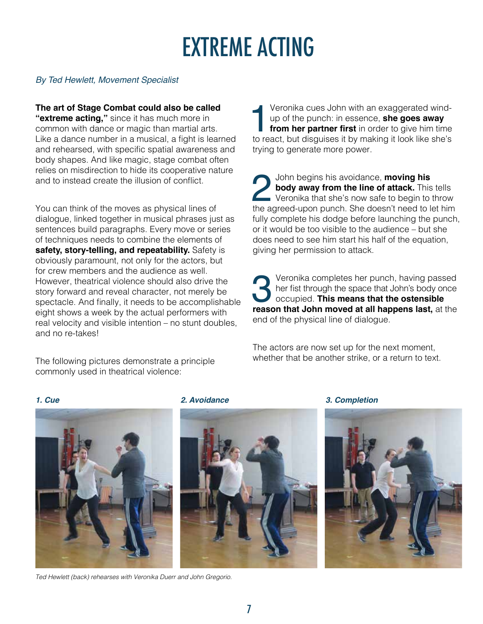# EXTREME ACTING

#### *By Ted Hewlett, Movement Specialist*

**The art of Stage Combat could also be called "extreme acting,"** since it has much more in common with dance or magic than martial arts. Like a dance number in a musical, a fight is learned and rehearsed, with specific spatial awareness and body shapes. And like magic, stage combat often relies on misdirection to hide its cooperative nature and to instead create the illusion of conflict.

You can think of the moves as physical lines of dialogue, linked together in musical phrases just as sentences build paragraphs. Every move or series of techniques needs to combine the elements of **safety, story-telling, and repeatability.** Safety is obviously paramount, not only for the actors, but for crew members and the audience as well. However, theatrical violence should also drive the story forward and reveal character, not merely be spectacle. And finally, it needs to be accomplishable eight shows a week by the actual performers with real velocity and visible intention – no stunt doubles, and no re-takes!

The following pictures demonstrate a principle commonly used in theatrical violence:

Veronika cues John with an exaggerated wind-<br>up of the punch: in essence, **she goes away**<br>from her partner first in order to give him time<br>to react, but disguises it by making it look like she's up of the punch: in essence, **she goes away from her partner first** in order to give him time trying to generate more power.

John begins his avoidance, **moving his body away from the line of attack**. This Veronika that she's now safe to begin to the agreed-upon punch. She doesn't need to le **body away from the line of attack.** This tells **Veronika that she's now safe to begin to throw** the agreed-upon punch. She doesn't need to let him fully complete his dodge before launching the punch, or it would be too visible to the audience – but she does need to see him start his half of the equation, giving her permission to attack.

**PERITHER 19 Veronika completes her punch, having passed her fist through the space that John's body once occupied. This means that the ostensible reason that John moved at all happens last, at the** her fist through the space that John's body once occupied. **This means that the ostensible**  end of the physical line of dialogue.

The actors are now set up for the next moment, whether that be another strike, or a return to text.





*Ted Hewlett (back) rehearses with Veronika Duerr and John Gregorio.*





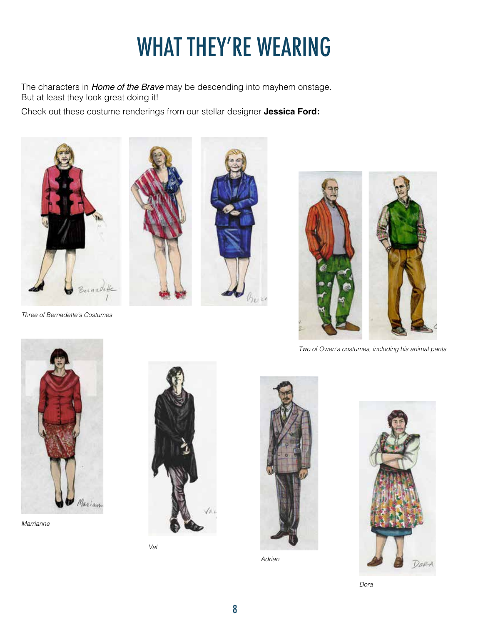# WHAT THEY'RE WEARING

The characters in *Home of the Brave* may be descending into mayhem onstage. But at least they look great doing it!

Check out these costume renderings from our stellar designer **Jessica Ford:**



*Three of Bernadette's Costumes*





*Two of Owen's costumes, including his animal pants*



*Marrianne*



*Val*



*Adrian*



*Dora*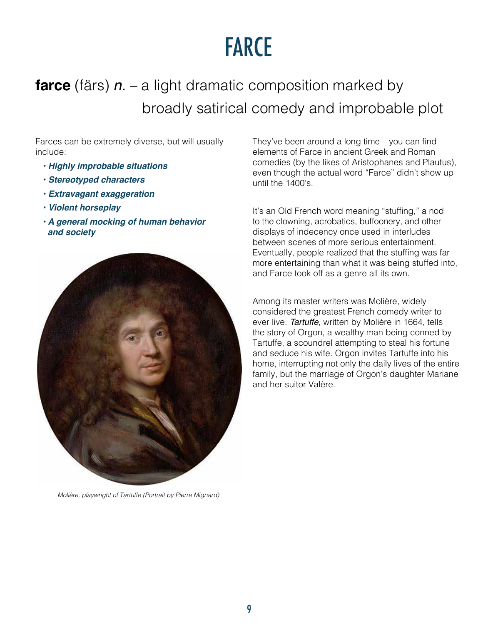### FARCE

### **farce** (färs) *n.* – a light dramatic composition marked by broadly satirical comedy and improbable plot

Farces can be extremely diverse, but will usually include:

- *Highly improbable situations*
- *Stereotyped characters*
- *Extravagant exaggeration*
- *Violent horseplay*
- *A general mocking of human behavior and society*



*Molière, playwright of Tartuffe (Portrait by Pierre Mignard).*

They've been around a long time – you can find elements of Farce in ancient Greek and Roman comedies (by the likes of Aristophanes and Plautus), even though the actual word "Farce" didn't show up until the 1400's.

It's an Old French word meaning "stuffing," a nod to the clowning, acrobatics, buffoonery, and other displays of indecency once used in interludes between scenes of more serious entertainment. Eventually, people realized that the stuffing was far more entertaining than what it was being stuffed into, and Farce took off as a genre all its own.

Among its master writers was Molière, widely considered the greatest French comedy writer to ever live. *Tartuffe*, written by Molière in 1664, tells the story of Orgon, a wealthy man being conned by Tartuffe, a scoundrel attempting to steal his fortune and seduce his wife. Orgon invites Tartuffe into his home, interrupting not only the daily lives of the entire family, but the marriage of Orgon's daughter Mariane and her suitor Valère.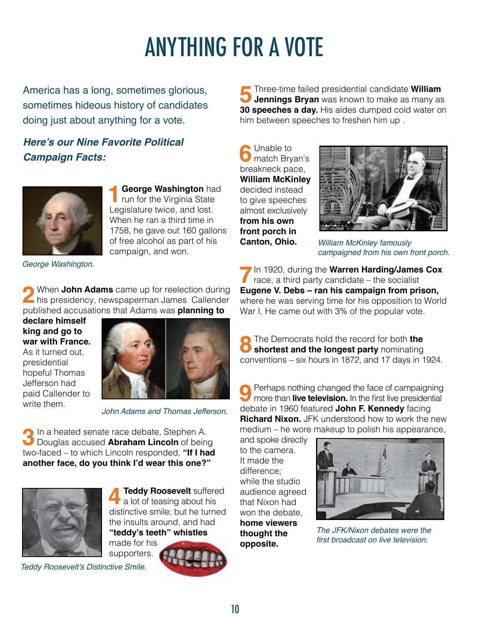# ANYTHING FOR A VOTE

America has a long, sometimes glorious, sometimes hideous history of candidates doing just about anything for a vote.

**Here's our Nine Favorite Political Campaign Facts:**



**1 George Washington** had<br>
run for the Virginia State<br> **1** equilators tying and lost Legislature twice, and lost. When he ran a third time in 1758, he gave out 160 gallons of free alcohol as part of his campaign, and won.

*George Washington.*

**2** When **John Adams** came up for reelection during his presidency, newspaperman James Callender published accusations that Adams was **planning to** 

**declare himself king and go to war with France.** As it turned out, presidential hopeful Thomas Jefferson had paid Callender to write them.



*John Adams and Thomas Jefferson.*

**3** In a heated senate race debate, Stephen A.<br>
Douglas accused **Abraham Lincoln** of being<br>
tug faced the which Lincoln responsed at "If Lincoln two-faced – to which Lincoln responded, **"If I had another face, do you think I'd wear this one?"** 



**4 Teddy Roosevelt** suffered a lot of teasing about his distinctive smile; but he turned the insults around, and had **"teddy's teeth" whistles** made for his

supporters.

**5**Three-time failed presidential candidate **William**<br> **Jennings Bryan** was known to make as many as<br> **20 apacebase a day** Llis aidea dumped aald water an **30 speeches a day.** His aides dumped cold water on him between speeches to freshen him up .

**6** Unable to match Bryan's breakneck pace, **William McKinley** decided instead to give speeches almost exclusively **from his own front porch in Canton, Ohio.**



*William McKinley famously campaigned from his own front porch.*

**7**In 1920, during the **Warren Harding/James Cox** race, a third party candidate – the socialist **Eugene V. Debs – ran his campaign from prison,** where he was serving time for his opposition to World War I. He came out with 3% of the popular vote.

**8**The Democrats hold the record for both **the**<br> **8 shortest and the longest party** nominating conventions – six hours in 1872, and 17 days in 1924.

**9** Perhaps nothing changed the face of campaigning<br>more than **live television.** In the first live presidential debate in 1960 featured **John F. Kennedy** facing **Richard Nixon.** JFK understood how to work the new medium – he wore makeup to polish his appearance,

and spoke directly to the camera. It made the difference; while the studio audience agreed that Nixon had won the debate, **home viewers thought the opposite.**



*The JFK/Nixon debates were the*  first broadcast on live television.

Teddy Roosevelt's Distinctive Smile.